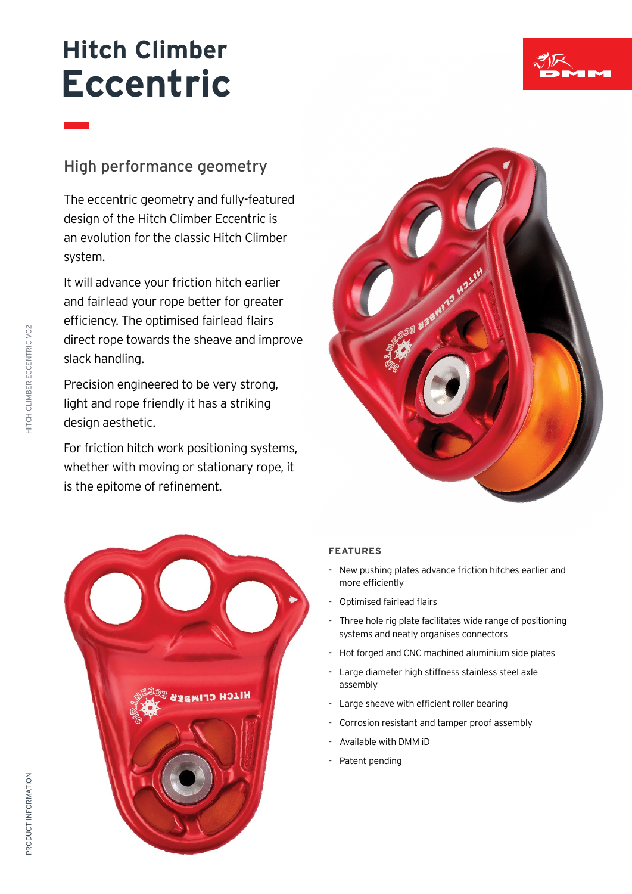## **Hitch Climber Eccentric**



The eccentric geometry and fully-featured design of the Hitch Climber Eccentric is an evolution for the classic Hitch Climber system.

It will advance your friction hitch earlier and fairlead your rope better for greater efficiency. The optimised fairlead flairs direct rope towards the sheave and improve slack handling.

Precision engineered to be very strong, light and rope friendly it has a striking design aesthetic.

For friction hitch work positioning systems, whether with moving or stationary rope, it is the epitome of refinement.





## **FEATURES**

- **-** New pushing plates advance friction hitches earlier and more efficiently
- **-** Optimised fairlead flairs
- **-** Three hole rig plate facilitates wide range of positioning systems and neatly organises connectors
- **-** Hot forged and CNC machined aluminium side plates
- **-** Large diameter high stiffness stainless steel axle assembly
- **-** Large sheave with efficient roller bearing
- **-** Corrosion resistant and tamper proof assembly
- **-** Available with DMM iD
- **-** Patent pending